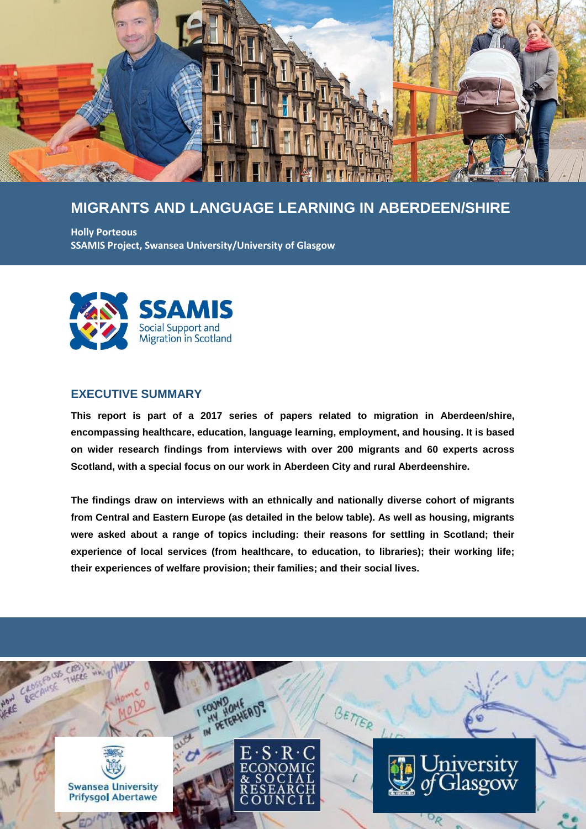

# **MIGRANTS AND LANGUAGE LEARNING IN ABERDEEN/SHIRE**

**Holly Porteous SSAMIS Project, Swansea University/University of Glasgow**



### **EXECUTIVE SUMMARY**

**This report is part of a 2017 series of papers related to migration in Aberdeen/shire, encompassing healthcare, education, language learning, employment, and housing. It is based on wider research findings from interviews with over 200 migrants and 60 experts across Scotland, with a special focus on our work in Aberdeen City and rural Aberdeenshire.**

**The findings draw on interviews with an ethnically and nationally diverse cohort of migrants from Central and Eastern Europe (as detailed in the below table). As well as housing, migrants were asked about a range of topics including: their reasons for settling in Scotland; their experience of local services (from healthcare, to education, to libraries); their working life; their experiences of welfare provision; their families; and their social lives.**

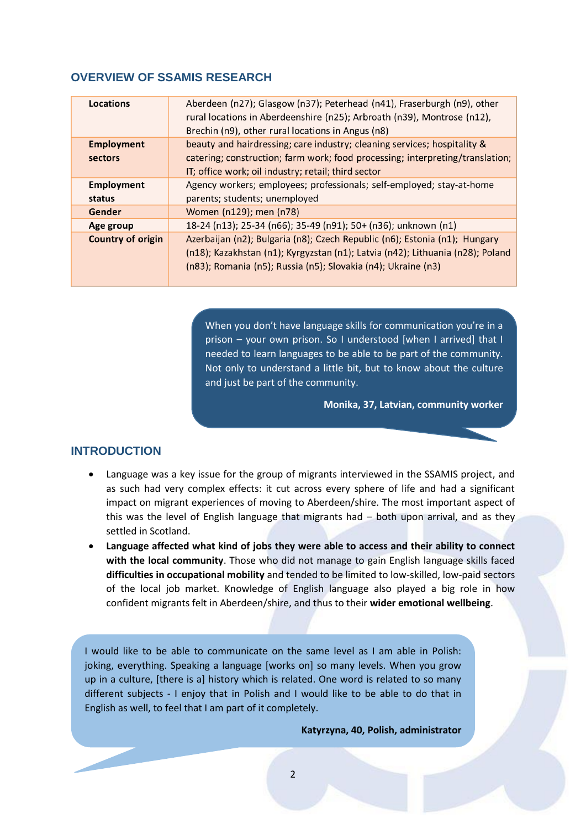#### **OVERVIEW OF SSAMIS RESEARCH**

| Locations                | Aberdeen (n27); Glasgow (n37); Peterhead (n41), Fraserburgh (n9), other<br>rural locations in Aberdeenshire (n25); Arbroath (n39), Montrose (n12),<br>Brechin (n9), other rural locations in Angus (n8) |
|--------------------------|---------------------------------------------------------------------------------------------------------------------------------------------------------------------------------------------------------|
|                          |                                                                                                                                                                                                         |
| <b>Employment</b>        | beauty and hairdressing; care industry; cleaning services; hospitality &                                                                                                                                |
| sectors                  | catering; construction; farm work; food processing; interpreting/translation;                                                                                                                           |
|                          | IT; office work; oil industry; retail; third sector                                                                                                                                                     |
| <b>Employment</b>        | Agency workers; employees; professionals; self-employed; stay-at-home                                                                                                                                   |
| status                   | parents; students; unemployed                                                                                                                                                                           |
| Gender                   | Women (n129); men (n78)                                                                                                                                                                                 |
| Age group                | 18-24 (n13); 25-34 (n66); 35-49 (n91); 50+ (n36); unknown (n1)                                                                                                                                          |
| <b>Country of origin</b> | Azerbaijan (n2); Bulgaria (n8); Czech Republic (n6); Estonia (n1); Hungary                                                                                                                              |
|                          | (n18); Kazakhstan (n1); Kyrgyzstan (n1); Latvia (n42); Lithuania (n28); Poland                                                                                                                          |
|                          | (n83); Romania (n5); Russia (n5); Slovakia (n4); Ukraine (n3)                                                                                                                                           |
|                          |                                                                                                                                                                                                         |

When you don't have language skills for communication you're in a prison – your own prison. So I understood [when I arrived] that I needed to learn languages to be able to be part of the community. Not only to understand a little bit, but to know about the culture and just be part of the community.

**Monika, 37, Latvian, community worker**

# **INTRODUCTION**

- Language was a key issue for the group of migrants interviewed in the SSAMIS project, and as such had very complex effects: it cut across every sphere of life and had a significant impact on migrant experiences of moving to Aberdeen/shire. The most important aspect of this was the level of English language that migrants had – both upon arrival, and as they settled in Scotland.
- **Language affected what kind of jobs they were able to access and their ability to connect with the local community**. Those who did not manage to gain English language skills faced **difficulties in occupational mobility** and tended to be limited to low-skilled, low-paid sectors of the local job market. Knowledge of English language also played a big role in how confident migrants felt in Aberdeen/shire, and thus to their **wider emotional wellbeing**.

I would like to be able to communicate on the same level as I am able in Polish: joking, everything. Speaking a language [works on] so many levels. When you grow up in a culture, [there is a] history which is related. One word is related to so many different subjects - I enjoy that in Polish and I would like to be able to do that in English as well, to feel that I am part of it completely.

**Katyrzyna, 40, Polish, administrator**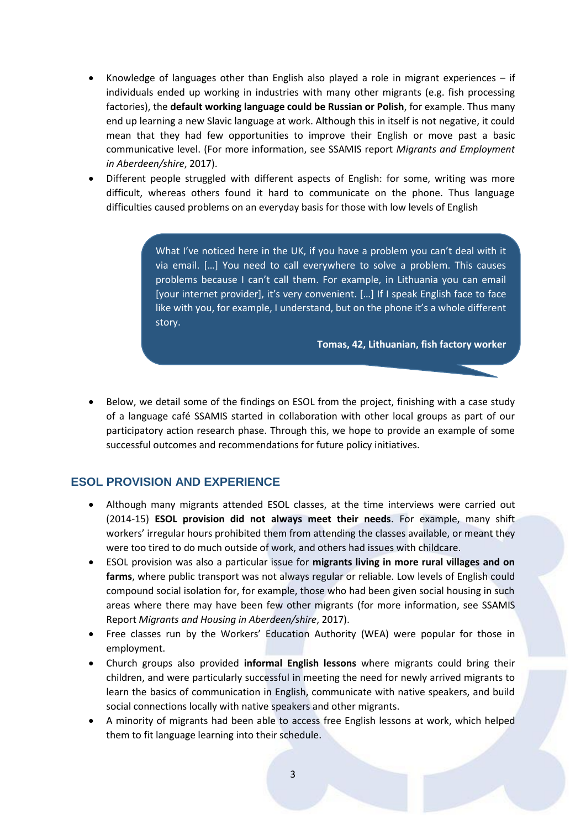- Knowledge of languages other than English also played a role in migrant experiences  $-$  if individuals ended up working in industries with many other migrants (e.g. fish processing factories), the **default working language could be Russian or Polish**, for example. Thus many end up learning a new Slavic language at work. Although this in itself is not negative, it could mean that they had few opportunities to improve their English or move past a basic communicative level. (For more information, see SSAMIS report *Migrants and Employment in Aberdeen/shire*, 2017).
- Different people struggled with different aspects of English: for some, writing was more difficult, whereas others found it hard to communicate on the phone. Thus language difficulties caused problems on an everyday basis for those with low levels of English

What I've noticed here in the UK, if you have a problem you can't deal with it via email. […] You need to call everywhere to solve a problem. This causes problems because I can't call them. For example, in Lithuania you can email [your internet provider], it's very convenient. […] If I speak English face to face like with you, for example, I understand, but on the phone it's a whole different story.

**Tomas, 42, Lithuanian, fish factory worker**

 Below, we detail some of the findings on ESOL from the project, finishing with a case study of a language café SSAMIS started in collaboration with other local groups as part of our participatory action research phase. Through this, we hope to provide an example of some successful outcomes and recommendations for future policy initiatives.

### **ESOL PROVISION AND EXPERIENCE**

- Although many migrants attended ESOL classes, at the time interviews were carried out (2014-15) **ESOL provision did not always meet their needs**. For example, many shift workers' irregular hours prohibited them from attending the classes available, or meant they were too tired to do much outside of work, and others had issues with childcare.
- ESOL provision was also a particular issue for **migrants living in more rural villages and on farms**, where public transport was not always regular or reliable. Low levels of English could compound social isolation for, for example, those who had been given social housing in such areas where there may have been few other migrants (for more information, see SSAMIS Report *Migrants and Housing in Aberdeen/shire*, 2017).
- Free classes run by the Workers' Education Authority (WEA) were popular for those in employment.
- Church groups also provided **informal English lessons** where migrants could bring their children, and were particularly successful in meeting the need for newly arrived migrants to learn the basics of communication in English, communicate with native speakers, and build social connections locally with native speakers and other migrants.
- A minority of migrants had been able to access free English lessons at work, which helped them to fit language learning into their schedule.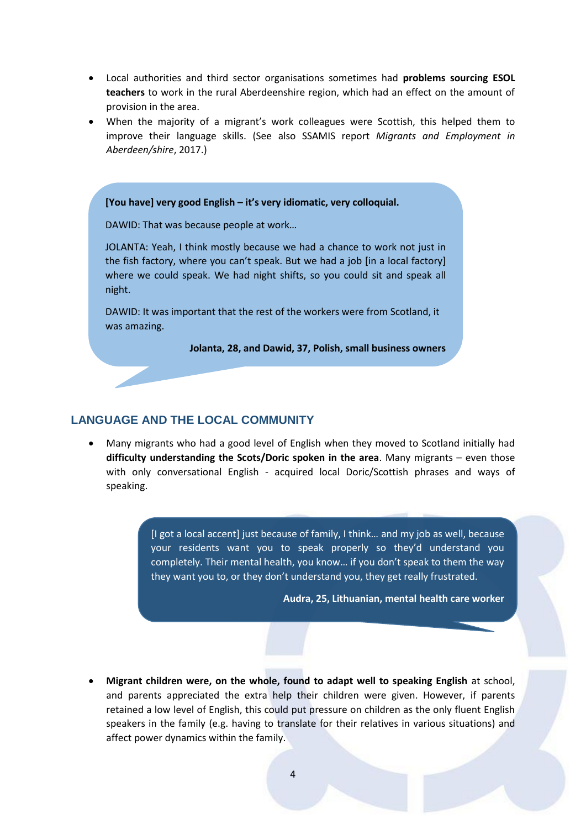- Local authorities and third sector organisations sometimes had **problems sourcing ESOL teachers** to work in the rural Aberdeenshire region, which had an effect on the amount of provision in the area.
- When the majority of a migrant's work colleagues were Scottish, this helped them to improve their language skills. (See also SSAMIS report *Migrants and Employment in Aberdeen/shire*, 2017.)

![](_page_3_Picture_2.jpeg)

## **LANGUAGE AND THE LOCAL COMMUNITY**

 Many migrants who had a good level of English when they moved to Scotland initially had **difficulty understanding the Scots/Doric spoken in the area**. Many migrants – even those with only conversational English - acquired local Doric/Scottish phrases and ways of speaking.

> [I got a local accent] just because of family, I think… and my job as well, because your residents want you to speak properly so they'd understand you completely. Their mental health, you know… if you don't speak to them the way they want you to, or they don't understand you, they get really frustrated.

> > **Audra, 25, Lithuanian, mental health care worker**

 **Migrant children were, on the whole, found to adapt well to speaking English** at school, and parents appreciated the extra help their children were given. However, if parents retained a low level of English, this could put pressure on children as the only fluent English speakers in the family (e.g. having to translate for their relatives in various situations) and affect power dynamics within the family.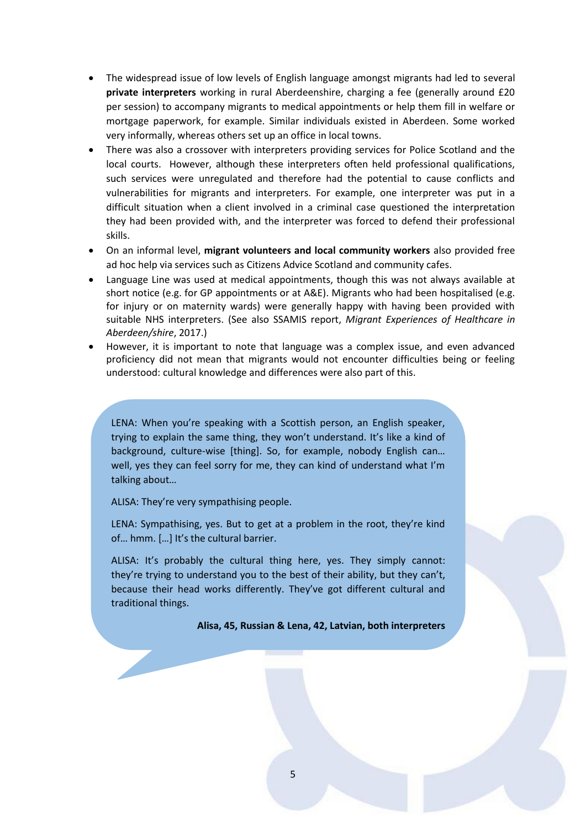- The widespread issue of low levels of English language amongst migrants had led to several **private interpreters** working in rural Aberdeenshire, charging a fee (generally around £20 per session) to accompany migrants to medical appointments or help them fill in welfare or mortgage paperwork, for example. Similar individuals existed in Aberdeen. Some worked very informally, whereas others set up an office in local towns.
- There was also a crossover with interpreters providing services for Police Scotland and the local courts. However, although these interpreters often held professional qualifications, such services were unregulated and therefore had the potential to cause conflicts and vulnerabilities for migrants and interpreters. For example, one interpreter was put in a difficult situation when a client involved in a criminal case questioned the interpretation they had been provided with, and the interpreter was forced to defend their professional skills.
- On an informal level, **migrant volunteers and local community workers** also provided free ad hoc help via services such as Citizens Advice Scotland and community cafes.
- Language Line was used at medical appointments, though this was not always available at short notice (e.g. for GP appointments or at A&E). Migrants who had been hospitalised (e.g. for injury or on maternity wards) were generally happy with having been provided with suitable NHS interpreters. (See also SSAMIS report, *Migrant Experiences of Healthcare in Aberdeen/shire*, 2017.)
- However, it is important to note that language was a complex issue, and even advanced proficiency did not mean that migrants would not encounter difficulties being or feeling understood: cultural knowledge and differences were also part of this.

LENA: When you're speaking with a Scottish person, an English speaker, trying to explain the same thing, they won't understand. It's like a kind of background, culture-wise [thing]. So, for example, nobody English can… well, yes they can feel sorry for me, they can kind of understand what I'm talking about…

ALISA: They're very sympathising people.

LENA: Sympathising, yes. But to get at a problem in the root, they're kind of… hmm. […] It's the cultural barrier.

ALISA: It's probably the cultural thing here, yes. They simply cannot: they're trying to understand you to the best of their ability, but they can't, because their head works differently. They've got different cultural and traditional things.

**Alisa, 45, Russian & Lena, 42, Latvian, both interpreters**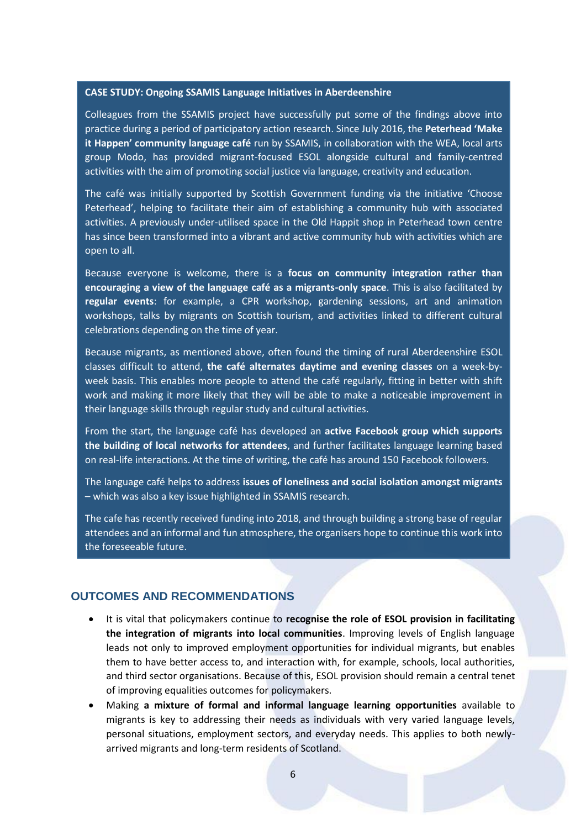#### **CASE STUDY: Ongoing SSAMIS Language Initiatives in Aberdeenshire**

Colleagues from the SSAMIS project have successfully put some of the findings above into practice during a period of participatory action research. Since July 2016, the **Peterhead 'Make it Happen' community language café** run by SSAMIS, in collaboration with the WEA, local arts group Modo, has provided migrant-focused ESOL alongside cultural and family-centred activities with the aim of promoting social justice via language, creativity and education.

The café was initially supported by Scottish Government funding via the initiative 'Choose Peterhead', helping to facilitate their aim of establishing a community hub with associated activities. A previously under-utilised space in the Old Happit shop in Peterhead town centre has since been transformed into a vibrant and active community hub with activities which are open to all.

Because everyone is welcome, there is a **focus on community integration rather than encouraging a view of the language café as a migrants-only space**. This is also facilitated by **regular events**: for example, a CPR workshop, gardening sessions, art and animation workshops, talks by migrants on Scottish tourism, and activities linked to different cultural celebrations depending on the time of year.

Because migrants, as mentioned above, often found the timing of rural Aberdeenshire ESOL classes difficult to attend, **the café alternates daytime and evening classes** on a week-byweek basis. This enables more people to attend the café regularly, fitting in better with shift work and making it more likely that they will be able to make a noticeable improvement in their language skills through regular study and cultural activities.

From the start, the language café has developed an **active Facebook group which supports the building of local networks for attendees**, and further facilitates language learning based on real-life interactions. At the time of writing, the café has around 150 Facebook followers.

The language café helps to address **issues of loneliness and social isolation amongst migrants** – which was also a key issue highlighted in SSAMIS research.

The cafe has recently received funding into 2018, and through building a strong base of regular attendees and an informal and fun atmosphere, the organisers hope to continue this work into the foreseeable future.

### **OUTCOMES AND RECOMMENDATIONS**

- It is vital that policymakers continue to **recognise the role of ESOL provision in facilitating the integration of migrants into local communities**. Improving levels of English language leads not only to improved employment opportunities for individual migrants, but enables them to have better access to, and interaction with, for example, schools, local authorities, and third sector organisations. Because of this, ESOL provision should remain a central tenet of improving equalities outcomes for policymakers.
- Making **a mixture of formal and informal language learning opportunities** available to migrants is key to addressing their needs as individuals with very varied language levels, personal situations, employment sectors, and everyday needs. This applies to both newlyarrived migrants and long-term residents of Scotland.